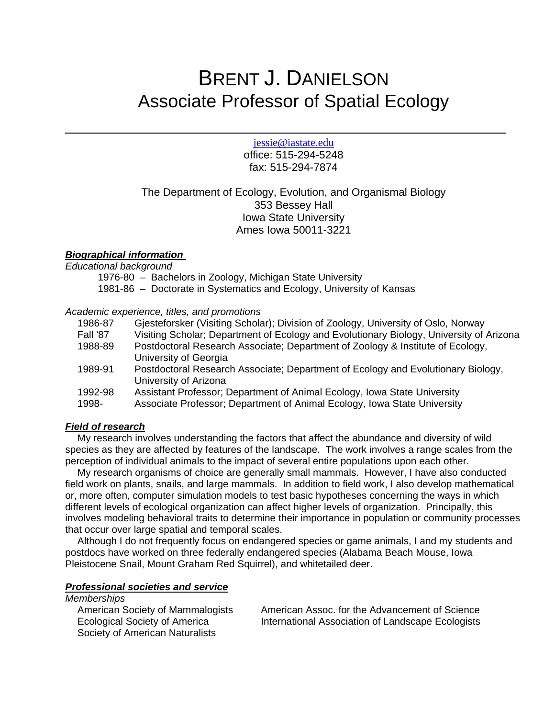# BRENT J. DANIELSON Associate Professor of Spatial Ecology

jessie@iastate.edu

office: 515-294-5248 fax: 515-294-7874

# The Department of Ecology, Evolution, and Organismal Biology 353 Bessey Hall Iowa State University Ames Iowa 50011-3221

## *Biographical information*

*Educational background*

1976-80 – Bachelors in Zoology, Michigan State University 1981-86 – Doctorate in Systematics and Ecology, University of Kansas

## *Academic experience, titles, and promotions*

| Gjesteforsker (Visiting Scholar); Division of Zoology, University of Oslo, Norway                                                                    |
|------------------------------------------------------------------------------------------------------------------------------------------------------|
| Visiting Scholar; Department of Ecology and Evolutionary Biology, University of Arizona                                                              |
| Postdoctoral Research Associate; Department of Zoology & Institute of Ecology,<br>University of Georgia                                              |
| Postdoctoral Research Associate; Department of Ecology and Evolutionary Biology,<br>University of Arizona                                            |
| Assistant Professor; Department of Animal Ecology, Iowa State University<br>Associate Professor; Department of Animal Ecology, Iowa State University |
|                                                                                                                                                      |

# *Field of research*

My research involves understanding the factors that affect the abundance and diversity of wild species as they are affected by features of the landscape. The work involves a range scales from the perception of individual animals to the impact of several entire populations upon each other.

My research organisms of choice are generally small mammals. However, I have also conducted field work on plants, snails, and large mammals. In addition to field work, I also develop mathematical or, more often, computer simulation models to test basic hypotheses concerning the ways in which different levels of ecological organization can affect higher levels of organization. Principally, this involves modeling behavioral traits to determine their importance in population or community processes that occur over large spatial and temporal scales.

Although I do not frequently focus on endangered species or game animals, I and my students and postdocs have worked on three federally endangered species (Alabama Beach Mouse, Iowa Pleistocene Snail, Mount Graham Red Squirrel), and whitetailed deer.

# *Professional societies and service*

*Memberships*

Society of American Naturalists

American Society of Mammalogists American Assoc. for the Advancement of Science Ecological Society of America International Association of Landscape Ecologists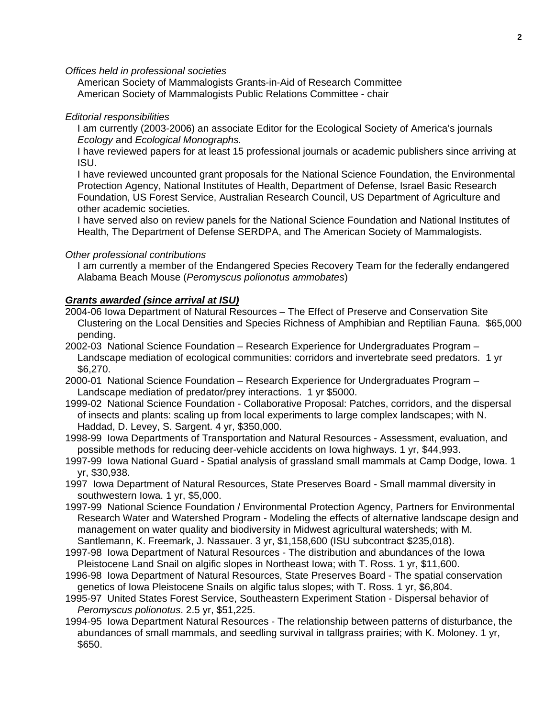*Offices held in professional societies*

 American Society of Mammalogists Grants-in-Aid of Research Committee American Society of Mammalogists Public Relations Committee - chair

#### *Editorial responsibilities*

I am currently (2003-2006) an associate Editor for the Ecological Society of America's journals *Ecology* and *Ecological Monographs.*

I have reviewed papers for at least 15 professional journals or academic publishers since arriving at ISU.

I have reviewed uncounted grant proposals for the National Science Foundation, the Environmental Protection Agency, National Institutes of Health, Department of Defense, Israel Basic Research Foundation, US Forest Service, Australian Research Council, US Department of Agriculture and other academic societies.

I have served also on review panels for the National Science Foundation and National Institutes of Health, The Department of Defense SERDPA, and The American Society of Mammalogists.

#### *Other professional contributions*

I am currently a member of the Endangered Species Recovery Team for the federally endangered Alabama Beach Mouse (*Peromyscus polionotus ammobates*)

## *Grants awarded (since arrival at ISU)*

- 2004-06 Iowa Department of Natural Resources The Effect of Preserve and Conservation Site Clustering on the Local Densities and Species Richness of Amphibian and Reptilian Fauna. \$65,000 pending.
- 2002-03 National Science Foundation Research Experience for Undergraduates Program Landscape mediation of ecological communities: corridors and invertebrate seed predators. 1 yr \$6,270.
- 2000-01 National Science Foundation Research Experience for Undergraduates Program Landscape mediation of predator/prey interactions. 1 yr \$5000.
- 1999-02 National Science Foundation Collaborative Proposal: Patches, corridors, and the dispersal of insects and plants: scaling up from local experiments to large complex landscapes; with N. Haddad, D. Levey, S. Sargent. 4 yr, \$350,000.
- 1998-99 Iowa Departments of Transportation and Natural Resources Assessment, evaluation, and possible methods for reducing deer-vehicle accidents on Iowa highways. 1 yr, \$44,993.
- 1997-99 Iowa National Guard Spatial analysis of grassland small mammals at Camp Dodge, Iowa. 1 yr, \$30,938.
- 1997 Iowa Department of Natural Resources, State Preserves Board Small mammal diversity in southwestern Iowa. 1 yr, \$5,000.
- 1997-99 National Science Foundation / Environmental Protection Agency, Partners for Environmental Research Water and Watershed Program - Modeling the effects of alternative landscape design and management on water quality and biodiversity in Midwest agricultural watersheds; with M. Santlemann, K. Freemark, J. Nassauer. 3 yr, \$1,158,600 (ISU subcontract \$235,018).
- 1997-98 Iowa Department of Natural Resources The distribution and abundances of the Iowa Pleistocene Land Snail on algific slopes in Northeast Iowa; with T. Ross. 1 yr, \$11,600.
- 1996-98 Iowa Department of Natural Resources, State Preserves Board The spatial conservation genetics of Iowa Pleistocene Snails on algific talus slopes; with T. Ross. 1 yr, \$6,804.
- 1995-97 United States Forest Service, Southeastern Experiment Station Dispersal behavior of *Peromyscus polionotus*. 2.5 yr, \$51,225.
- 1994-95 Iowa Department Natural Resources The relationship between patterns of disturbance, the abundances of small mammals, and seedling survival in tallgrass prairies; with K. Moloney. 1 yr, \$650.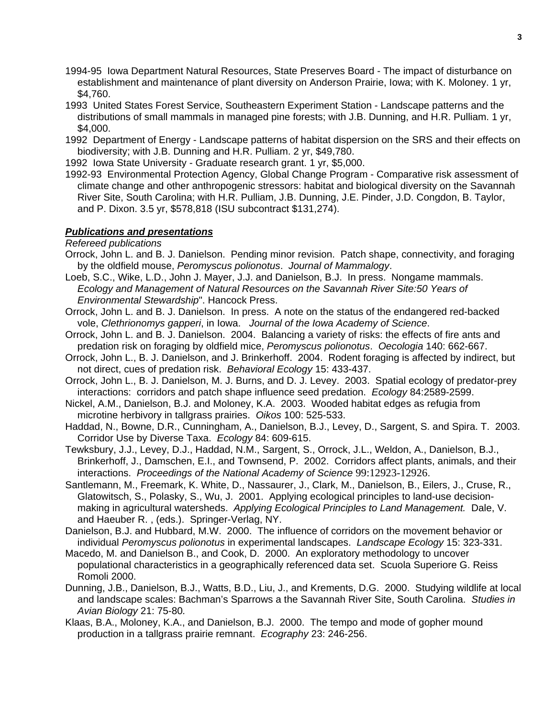- 1994-95 Iowa Department Natural Resources, State Preserves Board The impact of disturbance on establishment and maintenance of plant diversity on Anderson Prairie, Iowa; with K. Moloney. 1 yr, \$4,760.
- 1993 United States Forest Service, Southeastern Experiment Station Landscape patterns and the distributions of small mammals in managed pine forests; with J.B. Dunning, and H.R. Pulliam. 1 yr, \$4,000.
- 1992 Department of Energy Landscape patterns of habitat dispersion on the SRS and their effects on biodiversity; with J.B. Dunning and H.R. Pulliam. 2 yr, \$49,780.
- 1992 Iowa State University Graduate research grant. 1 yr, \$5,000.
- 1992-93 Environmental Protection Agency, Global Change Program Comparative risk assessment of climate change and other anthropogenic stressors: habitat and biological diversity on the Savannah River Site, South Carolina; with H.R. Pulliam, J.B. Dunning, J.E. Pinder, J.D. Congdon, B. Taylor, and P. Dixon. 3.5 yr, \$578,818 (ISU subcontract \$131,274).

## *Publications and presentations*

*Refereed publications*

- Orrock, John L. and B. J. Danielson. Pending minor revision. Patch shape, connectivity, and foraging by the oldfield mouse, *Peromyscus polionotus*. *Journal of Mammalogy*.
- Loeb, S.C., Wike, L.D., John J. Mayer, J.J. and Danielson, B.J. In press. Nongame mammals. *Ecology and Management of Natural Resources on the Savannah River Site:50 Years of Environmental Stewardship*". Hancock Press.
- Orrock, John L. and B. J. Danielson. In press. A note on the status of the endangered red-backed vole, *Clethrionomys gapperi*, in Iowa. *Journal of the Iowa Academy of Science*.
- Orrock, John L. and B. J. Danielson. 2004. Balancing a variety of risks: the effects of fire ants and predation risk on foraging by oldfield mice, *Peromyscus polionotus*. *Oecologia* 140: 662-667.
- Orrock, John L., B. J. Danielson, and J. Brinkerhoff. 2004. Rodent foraging is affected by indirect, but not direct, cues of predation risk. *Behavioral Ecology* 15: 433-437.
- Orrock, John L., B. J. Danielson, M. J. Burns, and D. J. Levey. 2003. Spatial ecology of predator-prey interactions: corridors and patch shape influence seed predation. *Ecology* 84:2589-2599.
- Nickel, A.M., Danielson, B.J. and Moloney, K.A. 2003. Wooded habitat edges as refugia from microtine herbivory in tallgrass prairies. *Oikos* 100: 525-533.
- Haddad, N., Bowne, D.R., Cunningham, A., Danielson, B.J., Levey, D., Sargent, S. and Spira. T. 2003. Corridor Use by Diverse Taxa. *Ecology* 84: 609-615.
- Tewksbury, J.J., Levey, D.J., Haddad, N.M., Sargent, S., Orrock, J.L., Weldon, A., Danielson, B.J., Brinkerhoff, J., Damschen, E.I., and Townsend, P. 2002. Corridors affect plants, animals, and their interactions. *Proceedings of the National Academy of Science* 99:12923-12926.
- Santlemann, M., Freemark, K. White, D., Nassaurer, J., Clark, M., Danielson, B., Eilers, J., Cruse, R., Glatowitsch, S., Polasky, S., Wu, J. 2001. Applying ecological principles to land-use decisionmaking in agricultural watersheds. *Applying Ecological Principles to Land Management.* Dale, V. and Haeuber R. , (eds.). Springer-Verlag, NY.
- Danielson, B.J. and Hubbard, M.W. 2000. The influence of corridors on the movement behavior or individual *Peromyscus polionotus* in experimental landscapes. *Landscape Ecology* 15: 323-331.
- Macedo, M. and Danielson B., and Cook, D. 2000. An exploratory methodology to uncover populational characteristics in a geographically referenced data set. Scuola Superiore G. Reiss Romoli 2000.
- Dunning, J.B., Danielson, B.J., Watts, B.D., Liu, J., and Krements, D.G. 2000. Studying wildlife at local and landscape scales: Bachman's Sparrows a the Savannah River Site, South Carolina. *Studies in Avian Biology* 21: 75-80*.*
- Klaas, B.A., Moloney, K.A., and Danielson, B.J. 2000. The tempo and mode of gopher mound production in a tallgrass prairie remnant. *Ecography* 23: 246-256.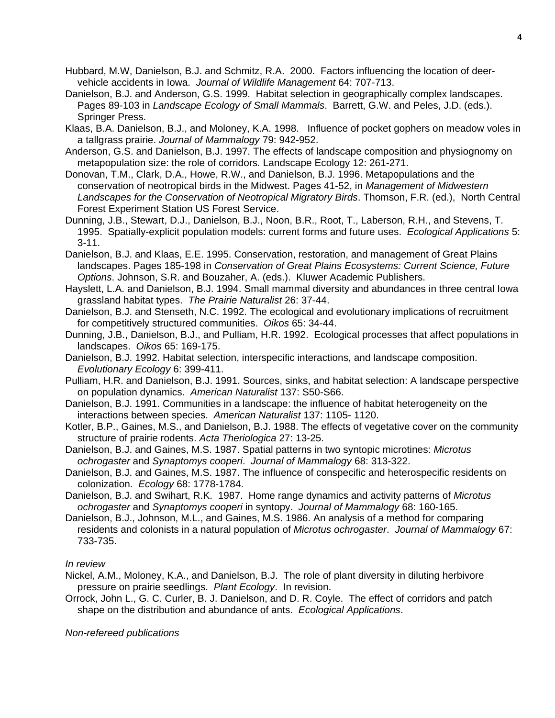- Hubbard, M.W, Danielson, B.J. and Schmitz, R.A. 2000. Factors influencing the location of deervehicle accidents in Iowa. *Journal of Wildlife Management* 64: 707-713.
- Danielson, B.J. and Anderson, G.S. 1999. Habitat selection in geographically complex landscapes. Pages 89-103 in *Landscape Ecology of Small Mammals*. Barrett, G.W. and Peles, J.D. (eds.). Springer Press.
- Klaas, B.A. Danielson, B.J., and Moloney, K.A. 1998. Influence of pocket gophers on meadow voles in a tallgrass prairie. *Journal of Mammalogy* 79: 942-952.
- Anderson, G.S. and Danielson, B.J. 1997. The effects of landscape composition and physiognomy on metapopulation size: the role of corridors. Landscape Ecology 12: 261-271.
- Donovan, T.M., Clark, D.A., Howe, R.W., and Danielson, B.J. 1996. Metapopulations and the conservation of neotropical birds in the Midwest. Pages 41-52, in *Management of Midwestern Landscapes for the Conservation of Neotropical Migratory Birds*. Thomson, F.R. (ed.), North Central Forest Experiment Station US Forest Service.
- Dunning, J.B., Stewart, D.J., Danielson, B.J., Noon, B.R., Root, T., Laberson, R.H., and Stevens, T. 1995. Spatially-explicit population models: current forms and future uses. *Ecological Applications* 5: 3-11.
- Danielson, B.J. and Klaas, E.E. 1995. Conservation, restoration, and management of Great Plains landscapes. Pages 185-198 in *Conservation of Great Plains Ecosystems: Current Science, Future Options*. Johnson, S.R. and Bouzaher, A. (eds.). Kluwer Academic Publishers.
- Hayslett, L.A. and Danielson, B.J. 1994. Small mammal diversity and abundances in three central Iowa grassland habitat types. *The Prairie Naturalist* 26: 37-44.
- Danielson, B.J. and Stenseth, N.C. 1992. The ecological and evolutionary implications of recruitment for competitively structured communities. *Oikos* 65: 34-44.
- Dunning, J.B., Danielson, B.J., and Pulliam, H.R. 1992. Ecological processes that affect populations in landscapes. *Oikos* 65: 169-175.
- Danielson, B.J. 1992. Habitat selection, interspecific interactions, and landscape composition. *Evolutionary Ecology* 6: 399-411.
- Pulliam, H.R. and Danielson, B.J. 1991. Sources, sinks, and habitat selection: A landscape perspective on population dynamics. *American Naturalist* 137: S50-S66.
- Danielson, B.J. 1991. Communities in a landscape: the influence of habitat heterogeneity on the interactions between species. *American Naturalist* 137: 1105- 1120.
- Kotler, B.P., Gaines, M.S., and Danielson, B.J. 1988. The effects of vegetative cover on the community structure of prairie rodents. *Acta Theriologica* 27: 13-25.
- Danielson, B.J. and Gaines, M.S. 1987. Spatial patterns in two syntopic microtines: *Microtus ochrogaster* and *Synaptomys cooperi*. *Journal of Mammalogy* 68: 313-322.
- Danielson, B.J. and Gaines, M.S. 1987. The influence of conspecific and heterospecific residents on colonization. *Ecology* 68: 1778-1784.
- Danielson, B.J. and Swihart, R.K. 1987. Home range dynamics and activity patterns of *Microtus ochrogaster* and *Synaptomys cooperi* in syntopy. *Journal of Mammalogy* 68: 160-165.
- Danielson, B.J., Johnson, M.L., and Gaines, M.S. 1986. An analysis of a method for comparing residents and colonists in a natural population of *Microtus ochrogaster*. *Journal of Mammalogy* 67: 733-735.

#### *In review*

Nickel, A.M., Moloney, K.A., and Danielson, B.J. The role of plant diversity in diluting herbivore pressure on prairie seedlings. *Plant Ecology*. In revision.

Orrock, John L., G. C. Curler, B. J. Danielson, and D. R. Coyle. The effect of corridors and patch shape on the distribution and abundance of ants. *Ecological Applications*.

*Non-refereed publications*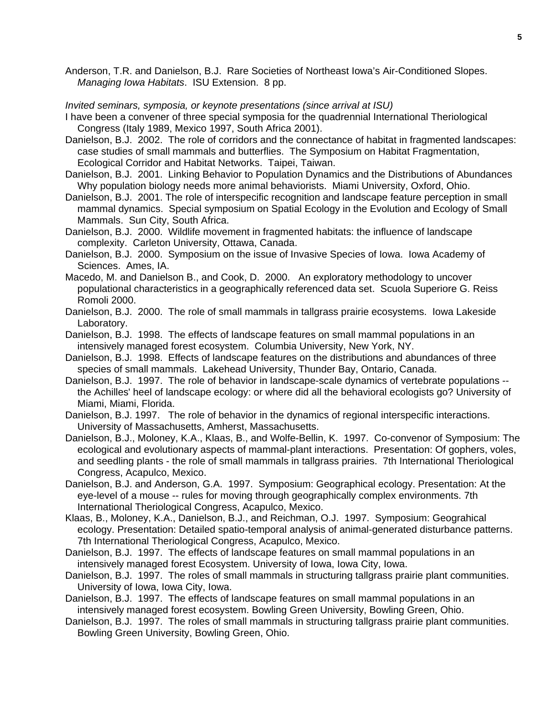Anderson, T.R. and Danielson, B.J. Rare Societies of Northeast Iowa's Air-Conditioned Slopes. *Managing Iowa Habitats*. ISU Extension. 8 pp.

#### *Invited seminars, symposia, or keynote presentations (since arrival at ISU)*

- I have been a convener of three special symposia for the quadrennial International Theriological Congress (Italy 1989, Mexico 1997, South Africa 2001).
- Danielson, B.J. 2002. The role of corridors and the connectance of habitat in fragmented landscapes: case studies of small mammals and butterflies. The Symposium on Habitat Fragmentation, Ecological Corridor and Habitat Networks. Taipei, Taiwan.
- Danielson, B.J. 2001. Linking Behavior to Population Dynamics and the Distributions of Abundances Why population biology needs more animal behaviorists. Miami University, Oxford, Ohio.
- Danielson, B.J. 2001. The role of interspecific recognition and landscape feature perception in small mammal dynamics. Special symposium on Spatial Ecology in the Evolution and Ecology of Small Mammals. Sun City, South Africa.
- Danielson, B.J. 2000. Wildlife movement in fragmented habitats: the influence of landscape complexity. Carleton University, Ottawa, Canada.
- Danielson, B.J. 2000. Symposium on the issue of Invasive Species of Iowa. Iowa Academy of Sciences. Ames, IA.
- Macedo, M. and Danielson B., and Cook, D. 2000. An exploratory methodology to uncover populational characteristics in a geographically referenced data set. Scuola Superiore G. Reiss Romoli 2000.
- Danielson, B.J. 2000. The role of small mammals in tallgrass prairie ecosystems. Iowa Lakeside Laboratory.
- Danielson, B.J. 1998. The effects of landscape features on small mammal populations in an intensively managed forest ecosystem. Columbia University, New York, NY.
- Danielson, B.J. 1998. Effects of landscape features on the distributions and abundances of three species of small mammals. Lakehead University, Thunder Bay, Ontario, Canada.
- Danielson, B.J. 1997. The role of behavior in landscape-scale dynamics of vertebrate populations the Achilles' heel of landscape ecology: or where did all the behavioral ecologists go? University of Miami, Miami, Florida.
- Danielson, B.J. 1997. The role of behavior in the dynamics of regional interspecific interactions. University of Massachusetts, Amherst, Massachusetts.
- Danielson, B.J., Moloney, K.A., Klaas, B., and Wolfe-Bellin, K. 1997. Co-convenor of Symposium: The ecological and evolutionary aspects of mammal-plant interactions. Presentation: Of gophers, voles, and seedling plants - the role of small mammals in tallgrass prairies. 7th International Theriological Congress, Acapulco, Mexico.
- Danielson, B.J. and Anderson, G.A. 1997. Symposium: Geographical ecology. Presentation: At the eye-level of a mouse -- rules for moving through geographically complex environments. 7th International Theriological Congress, Acapulco, Mexico.
- Klaas, B., Moloney, K.A., Danielson, B.J., and Reichman, O.J. 1997. Symposium: Geograhical ecology. Presentation: Detailed spatio-temporal analysis of animal-generated disturbance patterns. 7th International Theriological Congress, Acapulco, Mexico.
- Danielson, B.J. 1997. The effects of landscape features on small mammal populations in an intensively managed forest Ecosystem. University of Iowa, Iowa City, Iowa.
- Danielson, B.J. 1997. The roles of small mammals in structuring tallgrass prairie plant communities. University of Iowa, Iowa City, Iowa.
- Danielson, B.J. 1997. The effects of landscape features on small mammal populations in an intensively managed forest ecosystem. Bowling Green University, Bowling Green, Ohio.
- Danielson, B.J. 1997. The roles of small mammals in structuring tallgrass prairie plant communities. Bowling Green University, Bowling Green, Ohio.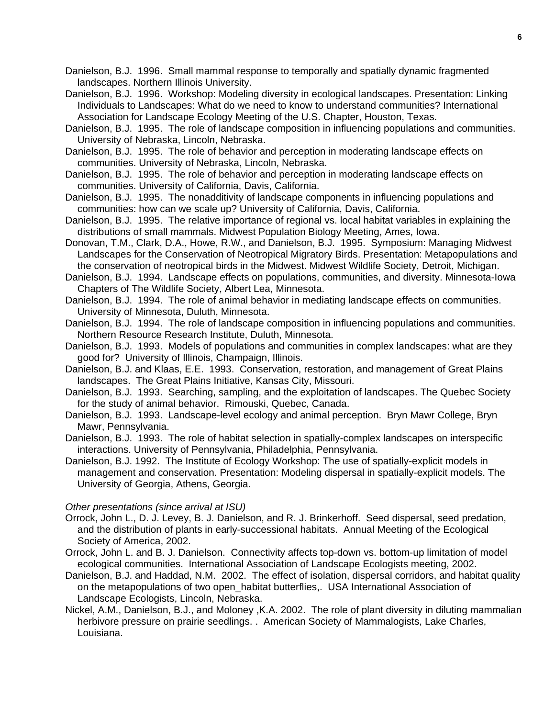Danielson, B.J. 1996. Small mammal response to temporally and spatially dynamic fragmented landscapes. Northern Illinois University.

Danielson, B.J. 1996. Workshop: Modeling diversity in ecological landscapes. Presentation: Linking Individuals to Landscapes: What do we need to know to understand communities? International Association for Landscape Ecology Meeting of the U.S. Chapter, Houston, Texas.

Danielson, B.J. 1995. The role of landscape composition in influencing populations and communities. University of Nebraska, Lincoln, Nebraska.

Danielson, B.J. 1995. The role of behavior and perception in moderating landscape effects on communities. University of Nebraska, Lincoln, Nebraska.

Danielson, B.J. 1995. The role of behavior and perception in moderating landscape effects on communities. University of California, Davis, California.

Danielson, B.J. 1995. The nonadditivity of landscape components in influencing populations and communities: how can we scale up? University of California, Davis, California.

Danielson, B.J. 1995. The relative importance of regional vs. local habitat variables in explaining the distributions of small mammals. Midwest Population Biology Meeting, Ames, Iowa.

Donovan, T.M., Clark, D.A., Howe, R.W., and Danielson, B.J. 1995. Symposium: Managing Midwest Landscapes for the Conservation of Neotropical Migratory Birds. Presentation: Metapopulations and the conservation of neotropical birds in the Midwest. Midwest Wildlife Society, Detroit, Michigan.

Danielson, B.J. 1994. Landscape effects on populations, communities, and diversity. Minnesota-Iowa Chapters of The Wildlife Society, Albert Lea, Minnesota.

Danielson, B.J. 1994. The role of animal behavior in mediating landscape effects on communities. University of Minnesota, Duluth, Minnesota.

Danielson, B.J. 1994. The role of landscape composition in influencing populations and communities. Northern Resource Research Institute, Duluth, Minnesota.

Danielson, B.J. 1993. Models of populations and communities in complex landscapes: what are they good for? University of Illinois, Champaign, Illinois.

Danielson, B.J. and Klaas, E.E. 1993. Conservation, restoration, and management of Great Plains landscapes. The Great Plains Initiative, Kansas City, Missouri.

Danielson, B.J. 1993. Searching, sampling, and the exploitation of landscapes. The Quebec Society for the study of animal behavior. Rimouski, Quebec, Canada.

Danielson, B.J. 1993. Landscape-level ecology and animal perception. Bryn Mawr College, Bryn Mawr, Pennsylvania.

Danielson, B.J. 1993. The role of habitat selection in spatially-complex landscapes on interspecific interactions. University of Pennsylvania, Philadelphia, Pennsylvania.

Danielson, B.J. 1992. The Institute of Ecology Workshop: The use of spatially-explicit models in management and conservation. Presentation: Modeling dispersal in spatially-explicit models. The University of Georgia, Athens, Georgia.

*Other presentations (since arrival at ISU)*

Orrock, John L., D. J. Levey, B. J. Danielson, and R. J. Brinkerhoff. Seed dispersal, seed predation, and the distribution of plants in early-successional habitats. Annual Meeting of the Ecological Society of America, 2002.

Orrock, John L. and B. J. Danielson. Connectivity affects top-down vs. bottom-up limitation of model ecological communities. International Association of Landscape Ecologists meeting, 2002.

Danielson, B.J. and Haddad, N.M. 2002. The effect of isolation, dispersal corridors, and habitat quality on the metapopulations of two open\_habitat butterflies,. USA International Association of Landscape Ecologists, Lincoln, Nebraska.

Nickel, A.M., Danielson, B.J., and Moloney ,K.A. 2002. The role of plant diversity in diluting mammalian herbivore pressure on prairie seedlings. . American Society of Mammalogists, Lake Charles, Louisiana.